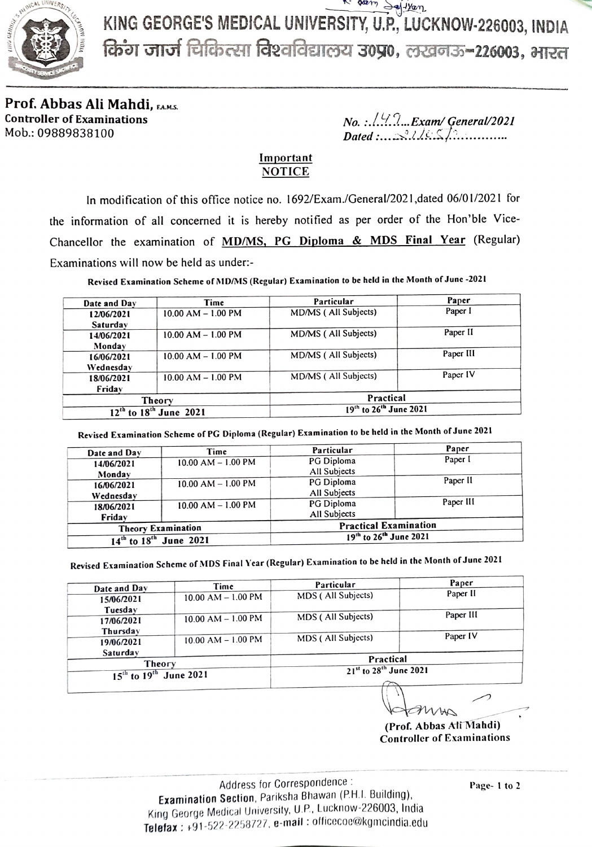

KING GEORGE'S MEDICAL UNIVERsITY, U.P, LUCKNOW-226003, INDIA KING GEORGE'S MEDICAL UNIVERSITY, U.P., LUCKNOW-226003, INDIA<br>किंग जार्ज चिकित्सा विश्वविद्यालय उ०प्र०, लखनऊ-226003, भारत

Prof. Abbas Ali Mahdi, FAMS. Controller of Examinations

 $No.:\ldots\ldots\ldots$  Exam/ General/2021 Dated:... Ais... Mob.: 09889838100 ee

## Important NOTICE

In modification of this office notice no. 1692/Exam./General/2021,dated 06/01/2021 for the information of all concerned it is hereby notified as per order of the Hon'ble Vice Chancellor the examination of MD/MS, PG Diploma & MDS Final Year (Regular) Examinations will now be held as under:

Revised Examination Scheme of MD/MS (Regular) Examination to be held in the Month of June -2021

| Date and Day                     | Time                   | Particular                                     | Paper     |
|----------------------------------|------------------------|------------------------------------------------|-----------|
| 12/06/2021                       | $10.00$ AM $- 1.00$ PM | MD/MS (All Subjects)                           | Paper I   |
| Saturdav                         |                        |                                                |           |
| 14/06/2021                       | $10.00$ AM $- 1.00$ PM | MD/MS (All Subjects)                           | Paper II  |
| Monday                           |                        |                                                |           |
| 16/06/2021                       | $10.00$ AM $- 1.00$ PM | MD/MS (All Subjects)                           | Paper III |
| Wednesday                        |                        |                                                |           |
| 18/06/2021                       | $10.00$ AM $- 1.00$ PM | MD/MS (All Subjects)                           | Paper IV  |
| Friday                           |                        |                                                |           |
| Theory                           |                        | Practical                                      |           |
| $12^{th}$ to $18^{th}$ June 2021 |                        | 19 <sup>th</sup> to 26 <sup>th</sup> June 2021 |           |

Revised Examination Scheme of PG Diploma (Regular) Examination to be held in the Month of June 2021

| Date and Day                     | Time                   | Particular                         | Paper     |
|----------------------------------|------------------------|------------------------------------|-----------|
| 14/06/2021                       | $10.00$ AM $- 1.00$ PM | PG Diploma                         | Paper I   |
| Monday                           |                        | All Subjects                       |           |
| 16/06/2021                       | $10.00$ AM $- 1.00$ PM | PG Diploma                         | Paper II  |
| Wednesday                        |                        | All Subjects                       |           |
| 18/06/2021                       | $10.00$ AM $- 1.00$ PM | PG Diploma                         | Paper III |
| Friday                           |                        | All Subjects                       |           |
| <b>Theory Examination</b>        |                        | <b>Practical Examination</b>       |           |
| $14^{th}$ to $18^{th}$ June 2021 |                        | 19th to 26 <sup>th</sup> June 2021 |           |

Revised Examination Scheme of MDS Final Year (Regular) Examination to be held in the Month of June 2021

| Date and Day                               | Time                   | Particular                                     | Paper     |
|--------------------------------------------|------------------------|------------------------------------------------|-----------|
|                                            |                        |                                                | Paper II  |
| 15/06/2021                                 | $10.00$ AM $- 1.00$ PM | MDS (All Subjects)                             |           |
| Tuesday                                    |                        |                                                |           |
| 17/06/2021                                 | $10.00$ AM $- 1.00$ PM | MDS (All Subjects)                             | Paper III |
| Thursday                                   |                        |                                                |           |
| 19/06/2021                                 | $10.00$ AM $- 1.00$ PM | MDS (All Subjects)                             | Paper IV  |
| Saturday                                   |                        |                                                |           |
| Theory<br>$15^{th}$ to $19^{th}$ June 2021 |                        | Practical                                      |           |
|                                            |                        | 21 <sup>st</sup> to 28 <sup>th</sup> June 2021 |           |

(Prof. Abbas Ali Mahdi) Controller of Examinations

Address for Correspondence: Examination Section, Pariksha Bhawan (P.H.I. Building), King George Medical University, U.P, Lucknow-226003, India Telefax: +91-522-2258727, e-mail: officecoe@kgmcindia.edu